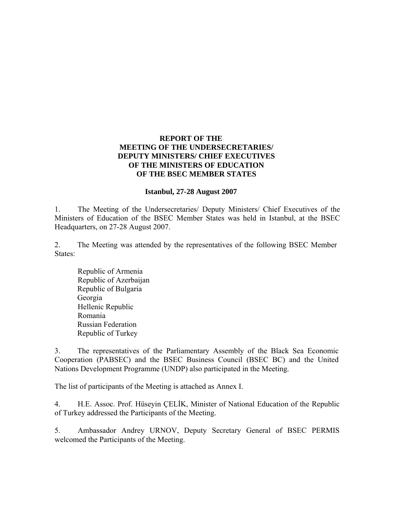## **REPORT OF THE MEETING OF THE UNDERSECRETARIES/ DEPUTY MINISTERS/ CHIEF EXECUTIVES OF THE MINISTERS OF EDUCATION OF THE BSEC MEMBER STATES**

## **Istanbul, 27-28 August 2007**

1. The Meeting of the Undersecretaries/ Deputy Ministers/ Chief Executives of the Ministers of Education of the BSEC Member States was held in Istanbul, at the BSEC Headquarters, on 27-28 August 2007.

2. The Meeting was attended by the representatives of the following BSEC Member States:

 Republic of Armenia Republic of Azerbaijan Republic of Bulgaria Georgia Hellenic Republic Romania Russian Federation Republic of Turkey

3. The representatives of the Parliamentary Assembly of the Black Sea Economic Cooperation (PABSEC) and the BSEC Business Council (BSEC BC) and the United Nations Development Programme (UNDP) also participated in the Meeting.

The list of participants of the Meeting is attached as Annex I.

4. H.E. Assoc. Prof. Hüseyin ÇELİK, Minister of National Education of the Republic of Turkey addressed the Participants of the Meeting.

5. Ambassador Andrey URNOV, Deputy Secretary General of BSEC PERMIS welcomed the Participants of the Meeting.